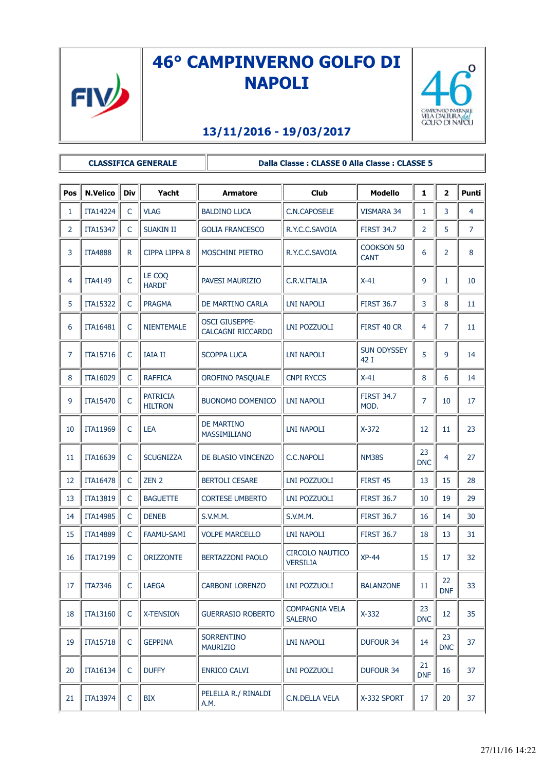

## **46° CAMPINVERNO GOLFO DI NAPOLI**



## **13/11/2016 - 19/03/2017**

**CLASSIFICA GENERALE Dalla Classe : CLASSE 0 Alla Classe : CLASSE 5**

| Pos            | <b>N.Velico</b> | Div          | Yacht                             | Armatore                                          | <b>Club</b>                               | <b>Modello</b>                   | $\mathbf{1}$     | $\overline{\mathbf{2}}$ | <b>Punti</b>   |
|----------------|-----------------|--------------|-----------------------------------|---------------------------------------------------|-------------------------------------------|----------------------------------|------------------|-------------------------|----------------|
| 1              | <b>ITA14224</b> | C            | <b>VLAG</b>                       | <b>BALDINO LUCA</b>                               | <b>C.N.CAPOSELE</b>                       | <b>VISMARA 34</b>                | 1                | 3                       | 4              |
| $\overline{2}$ | <b>ITA15347</b> | C            | <b>SUAKIN II</b>                  | <b>GOLIA FRANCESCO</b>                            | R.Y.C.C.SAVOIA                            | <b>FIRST 34.7</b>                | 2                | 5                       | $\overline{7}$ |
| 3              | <b>ITA4888</b>  | R.           | CIPPA LIPPA 8                     | <b>MOSCHINI PIETRO</b>                            | R.Y.C.C.SAVOIA                            | <b>COOKSON 50</b><br><b>CANT</b> | 6                | $\overline{2}$          | 8              |
| 4              | <b>ITA4149</b>  | C            | LE COQ<br><b>HARDI'</b>           | PAVESI MAURIZIO                                   | C.R.V.ITALIA                              | $X-41$                           | 9                | 1                       | 10             |
| 5              | <b>ITA15322</b> | $\mathsf{C}$ | <b>PRAGMA</b>                     | DE MARTINO CARLA                                  | <b>LNI NAPOLI</b>                         | <b>FIRST 36.7</b>                | 3                | 8                       | 11             |
| 6              | <b>ITA16481</b> | $\mathsf{C}$ | <b>NIENTEMALE</b>                 | <b>OSCI GIUSEPPE-</b><br><b>CALCAGNI RICCARDO</b> | LNI POZZUOLI                              | FIRST 40 CR                      | 4                | $\overline{7}$          | 11             |
| 7              | ITA15716        | C            | <b>IAIA II</b>                    | <b>SCOPPA LUCA</b>                                | <b>LNI NAPOLI</b>                         | <b>SUN ODYSSEY</b><br>42 I       | 5                | 9                       | 14             |
| 8              | ITA16029        | C            | <b>RAFFICA</b>                    | OROFINO PASQUALE                                  | <b>CNPI RYCCS</b>                         | $X-41$                           | 8                | 6                       | 14             |
| 9              | <b>ITA15470</b> | C            | <b>PATRICIA</b><br><b>HILTRON</b> | <b>BUONOMO DOMENICO</b>                           | <b>LNI NAPOLI</b>                         | <b>FIRST 34.7</b><br>MOD.        | 7                | 10                      | 17             |
| 10             | <b>ITA11969</b> | $\mathsf{C}$ | <b>LEA</b>                        | <b>DE MARTINO</b><br><b>MASSIMILIANO</b>          | <b>LNI NAPOLI</b>                         | $X-372$                          | 12               | 11                      | 23             |
| 11             | ITA16639        | $\mathsf{C}$ | <b>SCUGNIZZA</b>                  | DE BLASIO VINCENZO                                | <b>C.C.NAPOLI</b>                         | <b>NM38S</b>                     | 23<br><b>DNC</b> | 4                       | 27             |
| 12             | <b>ITA16478</b> | C            | ZEN 2                             | <b>BERTOLI CESARE</b>                             | <b>LNI POZZUOLI</b>                       | FIRST 45                         | 13               | 15                      | 28             |
| 13             | <b>ITA13819</b> | C            | <b>BAGUETTE</b>                   | <b>CORTESE UMBERTO</b>                            | LNI POZZUOLI                              | <b>FIRST 36.7</b>                | 10               | 19                      | 29             |
| 14             | <b>ITA14985</b> | C            | <b>DENEB</b>                      | S.V.M.M.                                          | S.V.M.M.                                  | <b>FIRST 36.7</b>                | 16               | 14                      | 30             |
| 15             | <b>ITA14889</b> | $\mathsf{C}$ | <b>FAAMU-SAMI</b>                 | <b>VOLPE MARCELLO</b>                             | LNI NAPOLI                                | <b>FIRST 36.7</b>                | 18               | 13                      | 31             |
| 16             | ITA17199        | C            | <b>ORIZZONTE</b>                  | <b>BERTAZZONI PAOLO</b>                           | <b>CIRCOLO NAUTICO</b><br><b>VERSILIA</b> | $XP-44$                          | 15               | 17                      | 32             |
| 17             | <b>ITA7346</b>  | C            | <b>LAEGA</b>                      | <b>CARBONI LORENZO</b>                            | LNI POZZUOLI                              | <b>BALANZONE</b>                 | 11               | 22<br><b>DNF</b>        | 33             |
| 18             | <b>ITA13160</b> | $\mathsf{C}$ | <b>X-TENSION</b>                  | <b>GUERRASIO ROBERTO</b>                          | <b>COMPAGNIA VELA</b><br><b>SALERNO</b>   | $X-332$                          | 23<br><b>DNC</b> | 12                      | 35             |
| 19             | <b>ITA15718</b> | $\mathsf{C}$ | <b>GEPPINA</b>                    | <b>SORRENTINO</b><br><b>MAURIZIO</b>              | LNI NAPOLI                                | <b>DUFOUR 34</b>                 | 14               | 23<br><b>DNC</b>        | 37             |
| 20             | <b>ITA16134</b> | C            | <b>DUFFY</b>                      | <b>ENRICO CALVI</b>                               | <b>LNI POZZUOLI</b>                       | <b>DUFOUR 34</b>                 | 21<br><b>DNF</b> | 16                      | 37             |
| 21             | <b>ITA13974</b> | $\mathsf{C}$ | <b>BIX</b>                        | PELELLA R./ RINALDI<br>A.M.                       | C.N.DELLA VELA                            | X-332 SPORT                      | 17               | 20                      | 37             |